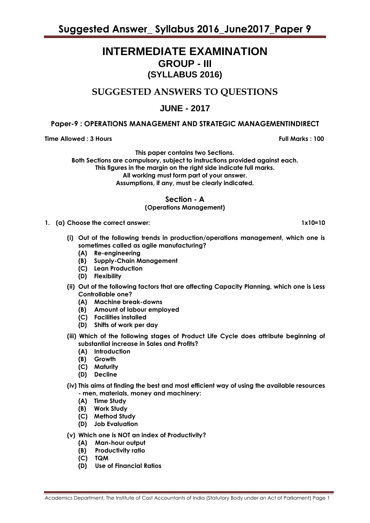## **INTERMEDIATE EXAMINATION GROUP - III (SYLLABUS 2016)**

## **SUGGESTED ANSWERS TO QUESTIONS**

### **JUNE - 2017**

### **Paper-9 : OPERATIONS MANAGEMENT AND STRATEGIC MANAGEMENTINDIRECT**

**Time Allowed : 3 Hours Full Marks : 100** 

**This paper contains two Sections.**

**Both Sections are compulsory, subject to instructions provided against each. This figures in the margin on the right side indicate full marks. All working must form part of your answer. Assumptions, if any, must be clearly indicated.**

**Section - A**

### **(Operations Management)**

- **1. (a) Choose the correct answer: 1x10=10**
	- **(i) Out of the following trends in production/operations management, which one is sometimes called as agile manufacturing?**
		- **(A) Re-engineering**
		- **(B) Supply-Chain Management**
		- **(C) Lean Production**
		- **(D) Flexibility**
	- **(ii) Out of the following factors that are affecting Capacity Planning, which one is Less Controllable one?**
		- **(A) Machine break-downs**
		- **(B) Amount of labour employed**
		- **(C) Facilities installed**
		- **(D) Shifts of work per day**
	- **(iii) Which of the following stages of Product Life Cycle does attribute beginning of substantial increase in Sales and Profits?**
		- **(A) Introduction**
		- **(B) Growth**
		- **(C) Maturity**
		- **(D) Decline**
	- **(iv) This aims at finding the best and most efficient way of using the available resources - men, materials, money and machinery:**
		- **(A) Time Study**
		- **(B) Work Study**
		- **(C) Method Study**
		- **(D) Job Evaluation**
	- **(v) Which one is NOT an index of Productivity?**
		- **(A) Man-hour output**
		- **(B) Productivity ratio**
		- **(C) TQM**
		- **(D) Use of Financial Ratios**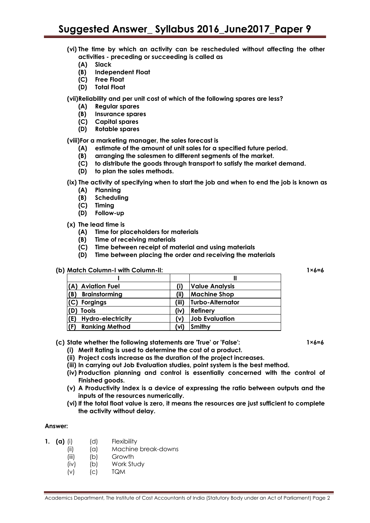- **(vi) The time by which an activity can be rescheduled without affecting the other activities - preceding or succeeding is called as**
	- **(A) Slack**
	- **(B) Independent Float**
	- **(C) Free Float**
	- **(D) Total Float**

**(vii)Reliability and per unit cost of which of the following spares are less?**

- **(A) Regular spares**
- **(B) Insurance spares**
- **(C) Capital spares**
- **(D) Rotable spares**

**(viii)For a marketing manager, the sales forecast is**

- **(A) estimate of the amount of unit sales for a specified future period.**
- **(B) arranging the salesmen to different segments of the market.**
- **(C) to distribute the goods through transport to satisfy the market demand.**
- **(D) to plan the sales methods.**

**(ix) The activity of specifying when to start the job and when to end the job is known as**

- **(A) Planning**
- **(B) Scheduling**
- **(C) Timing**
- **(D) Follow-up**
- **(x) The lead time is**
	- **(A) Time for placeholders for materials**
	- **(B) Time of receiving materials**
	- **(C) Time between receipt of material and using materials**
	- **(D) Time between placing the order and receiving the materials**

#### **(b) Match Column-I with Column-II: 1×6=6**

| (A) Aviation Fuel               |       | <b>Value Analysis</b> |
|---------------------------------|-------|-----------------------|
| (B)<br><b>Brainstorming</b>     | (ii)  | <b>Machine Shop</b>   |
| (C) Forgings                    | (iii) | Turbo-Alternator      |
| (D) Tools                       | (iv)  | <b>Refinery</b>       |
| <b>Hydro-electricity</b><br>(E) | (v)   | <b>Job Evaluation</b> |
| <b>Ranking Method</b><br>(F)    | (vi   | Smithy                |

#### **(c) State whether the following statements are 'True' or 'False': 1×6=6**

- **(i) Merit Rating is used to determine the cost of a product.**
- **(ii) Project costs increase as the duration of the project increases.**
- **(iii) In carrying out Job Evaluation studies, point system is the best method.**
- **(iv) Production planning and control is essentially concerned with the control of Finished goods.**
- **(v) A Productivity Index is a device of expressing the ratio between outputs and the inputs of the resources numerically.**
- **(vi) If the total float value is zero, it means the resources are just sufficient to complete the activity without delay.**

### **Answer:**

- **1. (a)** (i) (d) Flexibility
	- (ii) (a) Machine break-downs
	- (iii) (b) Growth
	- (iv) (b) Work Study
	- (v) (c) TQM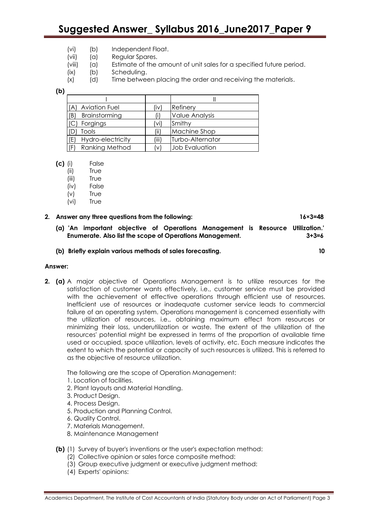# **Suggested Answer\_ Syllabus 2016\_June2017\_Paper 9**

- (vi) (b) Independent Float.
- (vii) (a) Regular Spares.
- (viii) (a) Estimate of the amount of unit sales for a specified future period.
- (ix) (b) Scheduling.
- (x) (d) Time between placing the order and receiving the materials.

**(b)**

| <b>Aviation Fuel</b><br>(A) | (iv) | Refinery              |
|-----------------------------|------|-----------------------|
| Brainstorming<br>(B)        |      | <b>Value Analysis</b> |
| Forgings                    | (vi) | Smithy                |
| Tools                       | (ii) | Machine Shop          |
| (E)<br>Hydro-electricity    | (iii | Turbo-Alternator      |
| Ranking Method<br>(F)       | (v)  | <b>Job Evaluation</b> |

- **(c)** (i) False
	- (ii) True
	- (iii) True
	- (iv) False
	- (v) True
	- (vi) True

#### **2. Answer any three questions from the following: 16×3=48**

- **(a) 'An important objective of Operations Management is Resource Utilization.' Enumerate. Also list the scope of Operations Management. 3+3=6**
- **(b) Briefly explain various methods of sales forecasting. 10**

#### **Answer:**

**2. (a)** A major objective of Operations Management is to utilize resources for the satisfaction of customer wants effectively, i.e., customer service must be provided with the achievement of effective operations through efficient use of resources. Inefficient use of resources or inadequate customer service leads to commercial failure of an operating system. Operations management is concerned essentially with the utilization of resources, i.e., obtaining maximum effect from resources or minimizing their loss, underutilization or waste. The extent of the utilization of the resources' potential might be expressed in terms of the proportion of available time used or occupied, space utilization, levels of activity, etc. Each measure indicates the extent to which the potential or capacity of such resources is utilized. This is referred to as the objective of resource utilization.

The following are the scope of Operation Management:

- 1. Location of facilities.
- 2. Plant layouts and Material Handling.
- 3. Product Design.
- 4. Process Design.
- 5. Production and Planning Control.
- 6. Quality Control.
- 7. Materials Management.
- 8. Maintenance Management
- **(b)** (1) Survey of buyer's inventions or the user's expectation method:
	- (2) Collective opinion or sales force composite method:
	- (3) Group executive judgment or executive judgment method:
	- (4) Experts' opinions: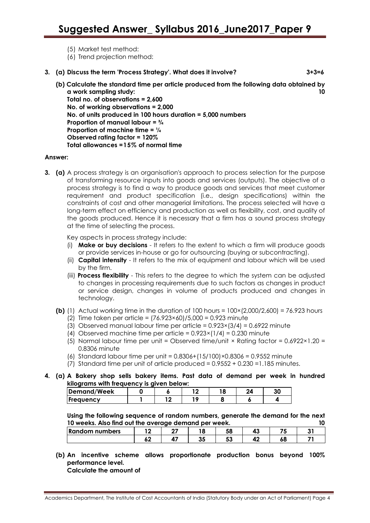- (5) Market test method:
- (6) Trend projection method:
- **3. (a) Discuss the term 'Process Strategy'. What does it involve? 3+3=6**

**(b) Calculate the standard time per article produced from the following data obtained by a work sampling study: 10 Total no. of observations = 2,600 No. of working observations = 2,000 No. of units produced in 100 hours duration = 5,000 numbers Proportion of manual labour = ¾ Proportion of machine time = ¼ Observed rating factor = 120% Total allowances =15% of normal time**

#### **Answer:**

**3. (a)** A process strategy is an organisation's approach to process selection for the purpose of transforming resource inputs into goods and services (outputs). The objective of a process strategy is to find a way to produce goods and services that meet customer requirement and product specification (i.e., design specifications) within the constraints of cost and other managerial limitations. The process selected will have a long-term effect on efficiency and production as well as flexibility, cost, and quality of the goods produced. Hence it is necessary that a firm has a sound process strategy at the time of selecting the process.

Key aspects in process strategy include:

- (i) **Make or buy decisions** It refers to the extent to which a firm will produce goods or provide services in-house or go for outsourcing (buying or subcontracting).
- (ii) **Capital intensity** It refers to the mix of equipment and labour which will be used by the firm.
- (iii) **Process flexibility** This refers to the degree to which the system can be adjusted to changes in processing requirements due to such factors as changes in product or service design, changes in volume of products produced and changes in technology.
- **(b)** (1) Actual working time in the duration of 100 hours = 100×(2,000/2,600) = 76.923 hours
	- (2) Time taken per article =  $(76.923 \times 60)/5,000 = 0.923$  minute
	- (3) Observed manual labour time per article =  $0.923 \times (3/4) = 0.6922$  minute
	- (4) Observed machine time per article =  $0.923 \times (1/4) = 0.230$  minute
	- (5) Normal labour time per unit = Observed time/unit  $\times$  Rating factor = 0.6922 $\times$ 1.20 = 0.8306 minute
	- (6) Standard labour time per unit = 0.8306+(15/100)×0.8306 = 0.9552 minute
	- (7) Standard time per unit of article produced = 0.9552 + 0.230 =1.185 minutes.
- **4. (a) A Bakery shop sells bakery items. Past data of demand per week in hundred kilograms with frequency is given below:**

| ------<br><b>Demand/Week</b> | --- | - - - - - - - - |  | 30 |
|------------------------------|-----|-----------------|--|----|
| <b>Frequency</b>             |     |                 |  |    |

**Using the following sequence of random numbers, generate the demand for the next 10 weeks. Also find out the average demand per week. 10**

| -----------<br>---------- |  |  |           |           | .  |     |
|---------------------------|--|--|-----------|-----------|----|-----|
| <b>Random numbers</b>     |  |  | <b>10</b> | r c<br>၁၀ | -- |     |
|                           |  |  | v.        | - -<br>ວວ | оσ | - 4 |

**(b) An incentive scheme allows proportionate production bonus beyond 100% performance level.**

**Calculate the amount of**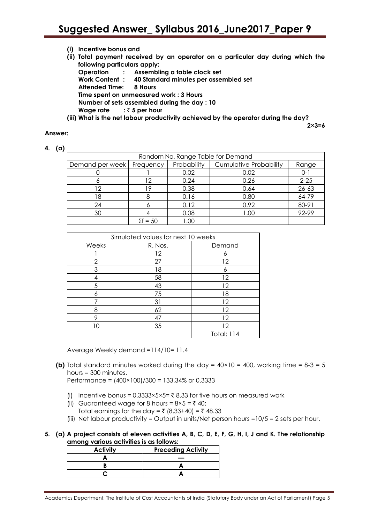| (i) Incentive bonus and                                                                                |
|--------------------------------------------------------------------------------------------------------|
| (ii) Total payment received by an operator on a particular day during which the                        |
| following particulars apply:                                                                           |
| Operation : Assembling a table clock set                                                               |
| Work Content: 40 Standard minutes per assembled set                                                    |
| Attended Time: 8 Hours                                                                                 |
| Time spent on unmeasured work: 3 Hours                                                                 |
| Number of sets assembled during the day : 10                                                           |
| Wage rate $\mathbb{R}^3$ : $\bar{\mathbb{C}}$ 5 per hour                                               |
| 0. يولد مطل موثير الربط محمود مطلبط لروبرونامور بيان زال بالمستور وروماما المعروف الرابع الماليان (18) |

**(iii) What is the net labour productivity achieved by the operator during the day?**

**2×3=6**

#### **Answer:**

| ٠ |  |
|---|--|
|---|--|

| Random No. Range Table for Demand |                 |             |                               |           |  |
|-----------------------------------|-----------------|-------------|-------------------------------|-----------|--|
| Demand per week                   | Frequency       | Probability | <b>Cumulative Probability</b> | Range     |  |
|                                   |                 | 0.02        | 0.02                          | $0 - 1$   |  |
|                                   | 12              | 0.24        | 0.26                          | $2 - 25$  |  |
| 12                                | 19.             | 0.38        | 0.64                          | $26 - 63$ |  |
| 18                                |                 | 0.16        | 0.80                          | 64-79     |  |
| 24                                |                 | 0.12        | 0.92                          | 80-91     |  |
| 30                                |                 | 0.08        | 1.00                          | 92-99     |  |
|                                   | $\Sigma f = 50$ | 00. I       |                               |           |  |

| Simulated values for next 10 weeks |         |                   |  |  |
|------------------------------------|---------|-------------------|--|--|
| Weeks                              | R. Nos. | Demand            |  |  |
|                                    | 12      |                   |  |  |
| 2                                  | 27      | 12                |  |  |
| 3                                  | 18      |                   |  |  |
|                                    | 58      | 12                |  |  |
| 5                                  | 43      | 12                |  |  |
|                                    | 75      | 18                |  |  |
|                                    | 31      | 12                |  |  |
| 8                                  | 62      | 12                |  |  |
| о                                  | 47      | 12                |  |  |
|                                    | 35      | 12                |  |  |
|                                    |         | <b>Total: 114</b> |  |  |

Average Weekly demand =114/10= 11.4

**(b)** Total standard minutes worked during the day =  $40 \times 10 = 400$ , working time =  $8-3 = 5$ hours = 300 minutes.

Performance = (400×100)/300 = 133.34% or 0.3333

- (i) Incentive bonus =  $0.3333 \times 5 \times 5 = 78.33$  for five hours on measured work
- (ii) Guaranteed wage for 8 hours =  $8 \times 5 = 740$ ;
- Total earnings for the day =  $\bar{\tau}$  (8.33+40) =  $\bar{\tau}$  48.33
- (iii) Net labour productivity = Output in units/Net person hours = $10/5 = 2$  sets per hour.
- **5. (a) A project consists of eleven activities A, B, C, D, E, F, G, H, I, J and K. The relationship among various activities is as follows:**

| <b>Activity</b> | <b>Preceding Activity</b> |
|-----------------|---------------------------|
|                 |                           |
|                 |                           |
|                 |                           |

Academics Department, The Institute of Cost Accountants of India (Statutory Body under an Act of Parliament) Page 5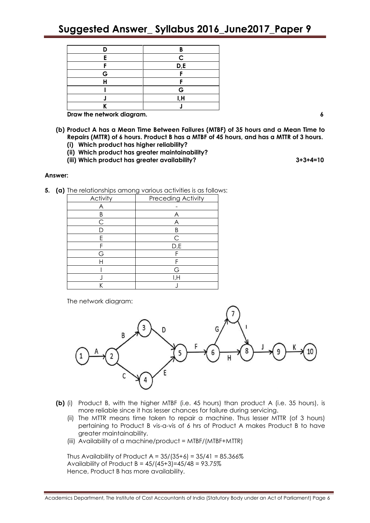## **Suggested Answer\_ Syllabus 2016\_June2017\_Paper 9**

| D | R                       |
|---|-------------------------|
|   | $\mathsf{C}$            |
| г | $\mathsf{D},\mathsf{E}$ |
| G |                         |
| ц |                         |
|   | G                       |
|   | I,H                     |
|   |                         |

**Draw the network diagram. 6**

- **(b) Product A has a Mean Time Between Failures (MTBF) of 35 hours and a Mean Time to Repairs (MTTR) of 6 hours. Product B has a MTBF of 45 hours, and has a MTTR of 3 hours.**
	- **(i) Which product has higher reliability?**
	- **(ii) Which product has greater maintainability?**
	- **(iii) Which product has greater availability? 3+3+4=10**

#### **Answer:**

**5. (a)** The relationships among various activities is as follows:

| Activity | <b>Preceding Activity</b> |
|----------|---------------------------|
| А        |                           |
| R        | А                         |
| С        | А                         |
|          | B                         |
| F        | C                         |
|          | D,E                       |
| G        |                           |
|          | F                         |
|          | G                         |
|          | l,H                       |
|          |                           |

The network diagram:



- **(b)** (i) Product B, with the higher MTBF (i.e. 45 hours) than product A (i.e. 35 hours), is more reliable since it has lesser chances for failure during servicing.
	- (ii) The MTTR means time taken to repair a machine. Thus lesser MTTR (of 3 hours) pertaining to Product B vis-a-vis of 6 hrs of Product A makes Product B to have greater maintainability.
	- (iii) Availability of a machine/product = MTBF/(MTBF+MTTR)

Thus Availability of Product A =  $35/(35+6) = 35/41 = 85.366\%$ Availability of Product  $B = 45/(45+3) = 45/48 = 93.75\%$ Hence, Product B has more availability.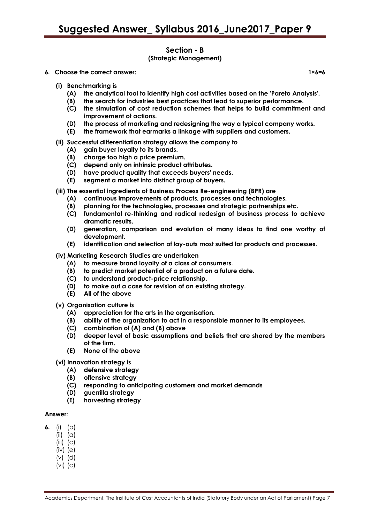#### **Section - B (Strategic Management)**

**6. Choose the correct answer: 1×6=6**

- **(i) Benchmarking is**
	- **(A) the analytical tool to identify high cost activities based on the 'Pareto Analysis'.**
	- **(B) the search for industries best practices that lead to superior performance.**
	- **(C) the simulation of cost reduction schemes that helps to build commitment and improvement of actions.**
	- **(D) the process of marketing and redesigning the way a typical company works.**
	- **(E) the framework that earmarks a linkage with suppliers and customers.**
- **(ii) Successful differentiation strategy allows the company to**
	- **(A) gain buyer loyalty to its brands.**
	- **(B) charge too high a price premium.**
	- **(C) depend only on intrinsic product attributes.**
	- **(D) have product quality that exceeds buyers' needs.**
	- **(E) segment a market into distinct group of buyers.**
- **(iii) The essential ingredients of Business Process Re-engineering (BPR) are**
	- **(A) continuous improvements of products, processes and technologies.**
	- **(B) planning for the technologies, processes and strategic partnerships etc.**
	- **(C) fundamental re-thinking and radical redesign of business process to achieve dramatic results.**
	- **(D) generation, comparison and evolution of many ideas to find one worthy of development.**
	- **(E) identification and selection of lay-outs most suited for products and processes.**
- **(iv) Marketing Research Studies are undertaken**
	- **(A) to measure brand loyalty of a class of consumers.**
	- **(B) to predict market potential of a product on a future date.**
	- **(C) to understand product-price relationship.**
	- **(D) to make out a case for revision of an existing strategy.**
	- **(E) All of the above**
- **(v) Organisation culture is**
	- **(A) appreciation for the arts in the organisation.**
	- **(B) ability of the organization to act in a responsible manner to its employees.**
	- **(C) combination of (A) and (B) above**
	- **(D) deeper level of basic assumptions and beliefs that are shared by the members of the firm.**
	- **(E) None of the above**
- **(vi) Innovation strategy is**
	- **(A) defensive strategy**
	- **(B) offensive strategy**
	- **(C) responding to anticipating customers and market demands**
	- **(D) guerrilla strategy**
	- **(E) harvesting strategy**

#### **Answer:**

- **6.** (i) (b)
	- $(ii)$   $(\alpha)$
	- $(iii)$   $(c)$
	- (iv) (e)
	- (v) (d)
	- (vi) (c)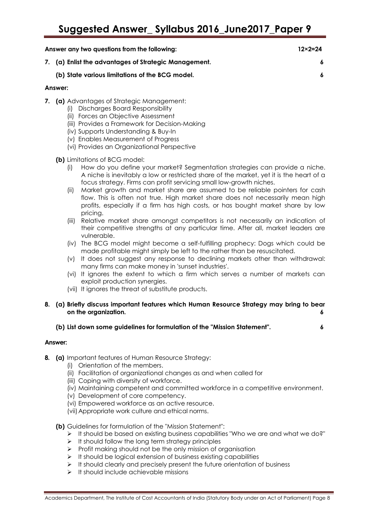| Answer any two questions from the following:          | $12 \times 2 = 24$ |
|-------------------------------------------------------|--------------------|
| 7. (a) Enlist the advantages of Strategic Management. |                    |
| (b) State various limitations of the BCG model.       |                    |
| Answer:                                               |                    |

- **7. (a)** Advantages of Strategic Management:
	- (i) Discharges Board Responsibility
	- (ii) Forces an Objective Assessment
	- (iii) Provides a Framework for Decision-Making
	- (iv) Supports Understanding & Buy-In
	- (v) Enables Measurement of Progress
	- (vi) Provides an Organizational Perspective
	- **(b)** Limitations of BCG model:
		- (i) How do you define your market? Segmentation strategies can provide a niche. A niche is inevitably a low or restricted share of the market, yet it is the heart of a focus strategy. Firms can profit servicing small low-growth niches.
		- (ii) Market growth and market share are assumed to be reliable pointers for cash flow. This is often not true. High market share does not necessarily mean high profits, especially if a firm has high costs, or has bought market share by low pricing.
		- (iii) Relative market share amongst competitors is not necessarily an indication of their competitive strengths at any particular time. After all, market leaders are vulnerable.
		- (iv) The BCG model might become a self-fulfilling prophecy: Dogs which could be made profitable might simply be left to the rather than be resuscitated.
		- (v) It does not suggest any response to declining markets other than withdrawal: many firms can make money in 'sunset industries'.
		- (vi) It ignores the extent to which a firm which serves a number of markets can exploit production synergies.
		- (vii) It ignores the threat of substitute products.
- **8. (a) Briefly discuss important features which Human Resource Strategy may bring to bear on the organization. 6**
	- **(b) List down some guidelines for formulation of the "Mission Statement". 6**

#### **Answer:**

- **8. (a)** Important features of Human Resource Strategy:
	- (i) Orientation of the members.
	- (ii) Facilitation of organizational changes as and when called for
	- (iii) Coping with diversity of workforce.
	- (iv) Maintaining competent and committed workforce in a competitive environment.
	- (v) Development of core competency.
	- (vi) Empowered workforce as an active resource.
	- (vii)Appropriate work culture and ethical norms.
	- **(b)** Guidelines for formulation of the "Mission Statement":
		- $\triangleright$  It should be based on existing business capabilities "Who we are and what we do?"
		- $\triangleright$  It should follow the long term strategy principles
		- $\triangleright$  Profit making should not be the only mission of organisation
		- $\triangleright$  It should be logical extension of business existing capabilities
		- $\triangleright$  It should clearly and precisely present the future orientation of business
		- $\triangleright$  It should include achievable missions